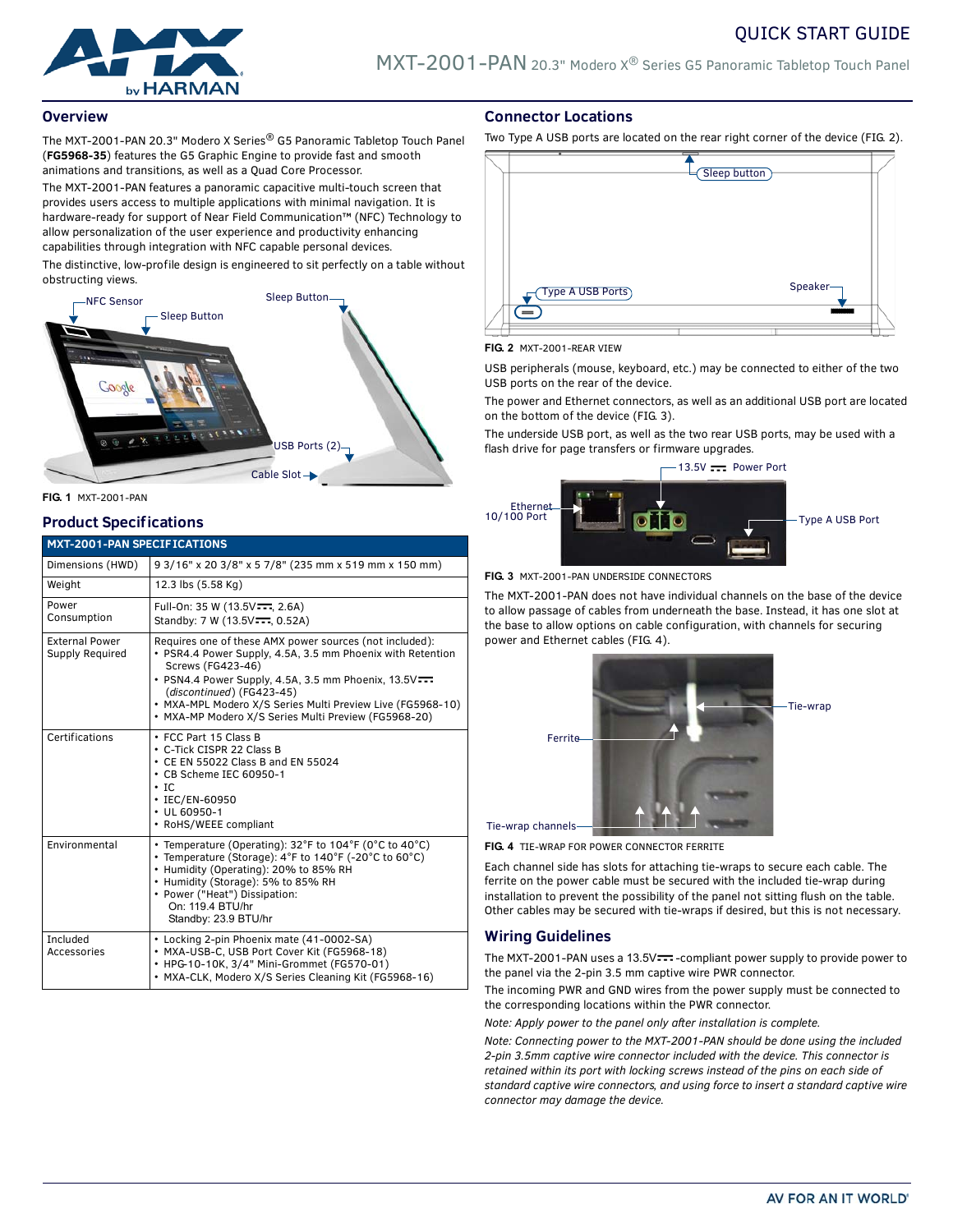

## **Overview**

The MXT-2001-PAN 20.3" Modero X Series® G5 Panoramic Tabletop Touch Panel (**FG5968-35**) features the G5 Graphic Engine to provide fast and smooth animations and transitions, as well as a Quad Core Processor.

The MXT-2001-PAN features a panoramic capacitive multi-touch screen that provides users access to multiple applications with minimal navigation. It is hardware-ready for support of Near Field Communication™ (NFC) Technology to allow personalization of the user experience and productivity enhancing capabilities through integration with NFC capable personal devices.

The distinctive, low-profile design is engineered to sit perfectly on a table without obstructing views.



**FIG. 1** MXT-2001-PAN

## **Product Specifications**

## **MXT-2001-PAN SPECIFICATIONS**

| MXI-2001-PAN SPECIFICATIONS              |                                                                                                                                                                                                                                                                                                                                                     |  |  |
|------------------------------------------|-----------------------------------------------------------------------------------------------------------------------------------------------------------------------------------------------------------------------------------------------------------------------------------------------------------------------------------------------------|--|--|
| Dimensions (HWD)                         | 9 3/16" x 20 3/8" x 5 7/8" (235 mm x 519 mm x 150 mm)                                                                                                                                                                                                                                                                                               |  |  |
| Weight                                   | 12.3 lbs (5.58 Kg)                                                                                                                                                                                                                                                                                                                                  |  |  |
| Power<br>Consumption                     | Full-On: 35 W (13.5V---, 2.6A)<br>Standby: 7 W (13.5V-F, 0.52A)                                                                                                                                                                                                                                                                                     |  |  |
| <b>External Power</b><br>Supply Required | Requires one of these AMX power sources (not included):<br>• PSR4.4 Power Supply, 4.5A, 3.5 mm Phoenix with Retention<br>Screws (FG423-46)<br>· PSN4.4 Power Supply, 4.5A, 3.5 mm Phoenix, 13.5V<br>(discontinued) (FG423-45)<br>· MXA-MPL Modero X/S Series Multi Preview Live (FG5968-10)<br>· MXA-MP Modero X/S Series Multi Preview (FG5968-20) |  |  |
| Certifications                           | • FCC Part 15 Class B<br>• C-Tick CISPR 22 Class B<br>• CE EN 55022 Class B and EN 55024<br>• CB Scheme IEC 60950-1<br>$\cdot$ IC<br>• IEC/EN-60950<br>$\cdot$ UL 60950-1<br>• RoHS/WEEE compliant                                                                                                                                                  |  |  |
| Environmental                            | • Temperature (Operating): 32°F to 104°F (0°C to 40°C)<br>• Temperature (Storage): 4°F to 140°F (-20°C to 60°C)<br>• Humidity (Operating): 20% to 85% RH<br>• Humidity (Storage): 5% to 85% RH<br>• Power ("Heat") Dissipation:<br>On: 119.4 BTU/hr<br>Standby: 23.9 BTU/hr                                                                         |  |  |
| Included<br>Accessories                  | • Locking 2-pin Phoenix mate (41-0002-SA)<br>· MXA-USB-C, USB Port Cover Kit (FG5968-18)<br>• HPG-10-10K, 3/4" Mini-Grommet (FG570-01)<br>· MXA-CLK, Modero X/S Series Cleaning Kit (FG5968-16)                                                                                                                                                     |  |  |

## **Connector Locations**

Two Type A USB ports are located on the rear right corner of the device (FIG. 2).



#### **FIG. 2** MXT-2001-REAR VIEW

USB peripherals (mouse, keyboard, etc.) may be connected to either of the two USB ports on the rear of the device.

The power and Ethernet connectors, as well as an additional USB port are located on the bottom of the device (FIG. 3).

The underside USB port, as well as the two rear USB ports, may be used with a flash drive for page transfers or firmware upgrades.



#### **FIG. 3** MXT-2001-PAN UNDERSIDE CONNECTORS

The MXT-2001-PAN does not have individual channels on the base of the device to allow passage of cables from underneath the base. Instead, it has one slot at the base to allow options on cable configuration, with channels for securing power and Ethernet cables (FIG. 4).



**FIG. 4** TIE-WRAP FOR POWER CONNECTOR FERRITE

Each channel side has slots for attaching tie-wraps to secure each cable. The ferrite on the power cable must be secured with the included tie-wrap during installation to prevent the possibility of the panel not sitting flush on the table. Other cables may be secured with tie-wraps if desired, but this is not necessary.

## **Wiring Guidelines**

The MXT-2001-PAN uses a 13.5V --- - compliant power supply to provide power to the panel via the 2-pin 3.5 mm captive wire PWR connector.

The incoming PWR and GND wires from the power supply must be connected to the corresponding locations within the PWR connector.

*Note: Apply power to the panel only after installation is complete.*

*Note: Connecting power to the MXT-2001-PAN should be done using the included 2-pin 3.5mm captive wire connector included with the device. This connector is retained within its port with locking screws instead of the pins on each side of standard captive wire connectors, and using force to insert a standard captive wire connector may damage the device.*